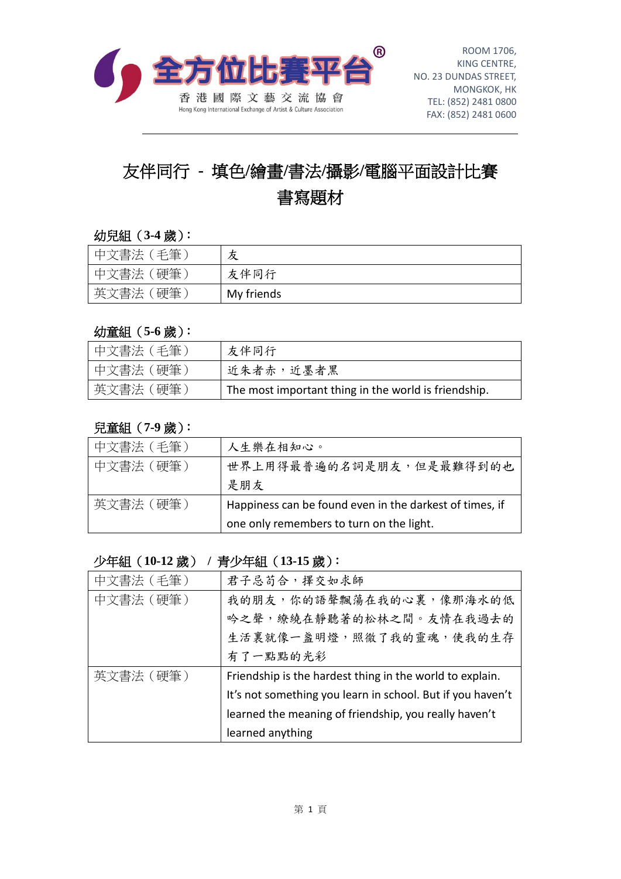

# 友伴同行 **-** 填色**/**繪畫**/**書法**/**攝影**/**電腦平面設計比賽 書寫題材

#### 幼兒組(**3-4** 歲):

| 中文書法 (毛筆) | 友          |
|-----------|------------|
| 中文書法 (硬筆) | 友伴同行       |
| 英文書法(硬筆   | My friends |

#### 幼童組(**5-6** 歲):

| 「中文書法(毛筆)  | 友伴同行                                                 |
|------------|------------------------------------------------------|
| 中文書法(硬筆)   | 近朱者赤,近墨者黑                                            |
| '英文書法 (硬筆) | The most important thing in the world is friendship. |

### 兒童組(**7-9** 歲):

| 中文書法 (毛筆) | 人生樂在相知心。                                                |
|-----------|---------------------------------------------------------|
| 中文書法 (硬筆) | 世界上用得最普遍的名詞是朋友,但是最難得到的也                                 |
|           | 是朋友                                                     |
| 英文書法 (硬筆) | Happiness can be found even in the darkest of times, if |
|           | one only remembers to turn on the light.                |

### 少年組(**10-12** 歲) **/** 青少年組(**13-15** 歲):

| 中文書法 (毛筆) | 君子忌苟合,擇交如求師                                                |
|-----------|------------------------------------------------------------|
| 中文書法 (硬筆) | 我的朋友,你的語聲飄蕩在我的心裏,像那海水的低                                    |
|           | 吟之聲,繚繞在靜聽著的松林之間。友情在我過去的                                    |
|           | 生活裏就像一盞明燈,照徹了我的靈魂,使我的生存                                    |
|           | 有了一點點的光彩                                                   |
| 英文書法 (硬筆) | Friendship is the hardest thing in the world to explain.   |
|           | It's not something you learn in school. But if you haven't |
|           | learned the meaning of friendship, you really haven't      |
|           | learned anything                                           |